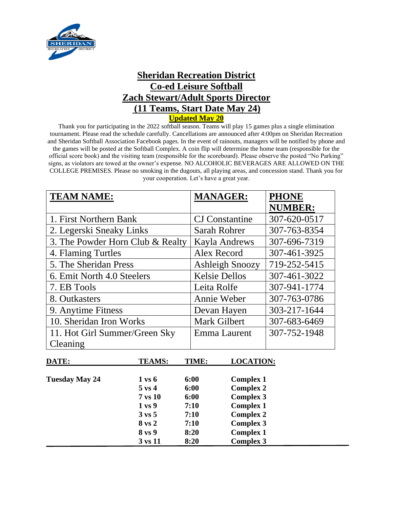

## **Sheridan Recreation District Co-ed Leisure Softball Zach Stewart/Adult Sports Director (11 Teams, Start Date May 24) Updated May 20**

Thank you for participating in the 2022 softball season. Teams will play 15 games plus a single elimination tournament. Please read the schedule carefully. Cancellations are announced after 4:00pm on Sheridan Recreation and Sheridan Softball Association Facebook pages. In the event of rainouts, managers will be notified by phone and the games will be posted at the Softball Complex. A coin flip will determine the home team (responsible for the official score book) and the visiting team (responsible for the scoreboard). Please observe the posted "No Parking" signs, as violators are towed at the owner's expense. NO ALCOHOLIC BEVERAGES ARE ALLOWED ON THE COLLEGE PREMISES. Please no smoking in the dugouts, all playing areas, and concession stand. Thank you for your cooperation. Let's have a great year.

| <b>TEAM NAME:</b>                | <b>MANAGER:</b>        | <b>PHONE</b>   |
|----------------------------------|------------------------|----------------|
|                                  |                        | <b>NUMBER:</b> |
| 1. First Northern Bank           | <b>CJ</b> Constantine  | 307-620-0517   |
| 2. Legerski Sneaky Links         | Sarah Rohrer           | 307-763-8354   |
| 3. The Powder Horn Club & Realty | <b>Kayla Andrews</b>   | 307-696-7319   |
| 4. Flaming Turtles               | Alex Record            | 307-461-3925   |
| 5. The Sheridan Press            | <b>Ashleigh Snoozy</b> | 719-252-5415   |
| 6. Emit North 4.0 Steelers       | <b>Kelsie Dellos</b>   | 307-461-3022   |
| 7. EB Tools                      | Leita Rolfe            | 307-941-1774   |
| 8. Outkasters                    | Annie Weber            | 307-763-0786   |
| 9. Anytime Fitness               | Devan Hayen            | 303-217-1644   |
| 10. Sheridan Iron Works          | <b>Mark Gilbert</b>    | 307-683-6469   |
| 11. Hot Girl Summer/Green Sky    | Emma Laurent           | 307-752-1948   |
| Cleaning                         |                        |                |

| DATE:                 | <b>TEAMS:</b>     | TIME: | <b>LOCATION:</b> |
|-----------------------|-------------------|-------|------------------|
| <b>Tuesday May 24</b> | $1 \text{ vs } 6$ | 6:00  | <b>Complex 1</b> |
|                       | $5 \text{ vs } 4$ | 6:00  | <b>Complex 2</b> |
|                       | $7$ vs $10$       | 6:00  | <b>Complex 3</b> |
|                       | 1 <sub>vs</sub> 9 | 7:10  | <b>Complex 1</b> |
|                       | $3 \text{ vs } 5$ | 7:10  | <b>Complex 2</b> |
|                       | 8 vs 2            | 7:10  | <b>Complex 3</b> |
|                       | 8 vs 9            | 8:20  | <b>Complex 1</b> |
|                       | 3 vs 11           | 8:20  | <b>Complex 3</b> |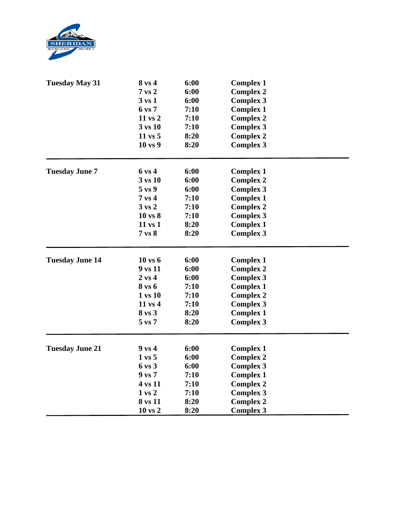

| <b>Tuesday May 31</b>  | 8 vs 4                        | 6:00                         | <b>Complex 1</b> |  |
|------------------------|-------------------------------|------------------------------|------------------|--|
|                        | $7$ vs $2$                    | 6:00                         | <b>Complex 2</b> |  |
|                        | $3 \text{ vs } 1$             | 6:00                         | <b>Complex 3</b> |  |
|                        | 6 vs 7                        | 7:10                         | <b>Complex 1</b> |  |
|                        | 11 vs 2                       | 7:10<br>7:10<br>8:20<br>8:20 | <b>Complex 2</b> |  |
|                        | 3 vs 10<br>11 vs 5<br>10 vs 9 |                              | <b>Complex 3</b> |  |
|                        |                               |                              | <b>Complex 2</b> |  |
|                        |                               |                              | <b>Complex 3</b> |  |
| <b>Tuesday June 7</b>  | 6 vs 4                        | 6:00                         | <b>Complex 1</b> |  |
|                        | 3 vs 10                       | 6:00                         | <b>Complex 2</b> |  |
|                        | $5 \text{ vs } 9$             | 6:00                         | <b>Complex 3</b> |  |
|                        | $7$ vs $4$                    | 7:10                         | <b>Complex 1</b> |  |
|                        | $3 \text{ vs } 2$             | 7:10                         | <b>Complex 2</b> |  |
|                        | 10 vs 8                       | 7:10                         | <b>Complex 3</b> |  |
|                        | 11 vs 1                       | 8:20                         | <b>Complex 1</b> |  |
|                        | $7$ vs $8$                    | 8:20                         | <b>Complex 3</b> |  |
| <b>Tuesday June 14</b> | 10 vs 6                       | 6:00                         | <b>Complex 1</b> |  |
|                        | 9 vs 11                       | 6:00                         | <b>Complex 2</b> |  |
|                        | $2 \text{ vs } 4$             | 6:00                         | <b>Complex 3</b> |  |
|                        | 8 vs 6                        | 7:10                         | <b>Complex 1</b> |  |
|                        | 1 vs 10                       | 7:10                         | <b>Complex 2</b> |  |
|                        | 11 vs 4                       | 7:10                         | <b>Complex 3</b> |  |
|                        | 8 vs 3                        | 8:20                         | <b>Complex 1</b> |  |
|                        | $5 \text{ vs } 7$             | 8:20                         | <b>Complex 3</b> |  |
| <b>Tuesday June 21</b> | $9$ vs 4                      | 6:00                         | <b>Complex 1</b> |  |
|                        | $1 \text{ vs } 5$             | 6:00                         | <b>Complex 2</b> |  |
|                        | 6 vs 3                        | 6:00                         | <b>Complex 3</b> |  |
|                        | 9 vs 7                        | 7:10                         | <b>Complex 1</b> |  |
|                        | 4 vs 11                       | 7:10                         | <b>Complex 2</b> |  |
|                        | $1 \text{ vs } 2$             | 7:10                         | <b>Complex 3</b> |  |
|                        | 8 vs 11                       | 8:20                         | <b>Complex 2</b> |  |
|                        | 10 vs 2                       | 8:20                         | <b>Complex 3</b> |  |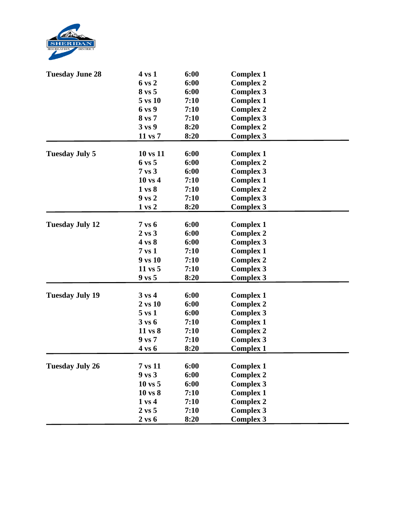

| 6:00<br>6 vs 2<br><b>Complex 2</b><br>6:00<br>8 vs 5<br><b>Complex 3</b><br>5 vs 10<br>7:10<br><b>Complex 1</b><br>6 vs 9<br>7:10<br><b>Complex 2</b><br>8 vs 7<br>7:10<br><b>Complex 3</b><br>3 vs 9<br>8:20<br><b>Complex 2</b><br>11 vs 7<br>8:20<br><b>Complex 3</b><br>6:00<br>10 vs 11<br><b>Tuesday July 5</b><br><b>Complex 1</b><br>6:00<br>$6 \text{ vs } 5$<br><b>Complex 2</b><br>$7$ vs $3$<br>6:00<br><b>Complex 3</b><br>$10 \text{ vs } 4$<br>7:10<br><b>Complex 1</b><br>$1 \text{ vs } 8$<br>7:10<br><b>Complex 2</b><br>$9$ vs $2$<br><b>Complex 3</b><br>7:10<br>8:20<br>$1$ vs $2$<br><b>Complex 3</b><br>6:00<br><b>Tuesday July 12</b><br>$7$ vs $6$<br><b>Complex 1</b><br>6:00<br>$2 \text{ vs } 3$<br><b>Complex 2</b><br>6:00<br>4 vs 8<br><b>Complex 3</b><br>$7$ vs $1$<br>7:10<br><b>Complex 1</b><br>9 vs 10<br>7:10<br><b>Complex 2</b><br>7:10<br>11 vs 5<br><b>Complex 3</b><br>9 vs 5<br>8:20<br><b>Complex 3</b><br><b>Tuesday July 19</b><br>6:00<br>$3 \text{ vs } 4$<br><b>Complex 1</b><br>6:00<br>$2 \text{ vs } 10$<br><b>Complex 2</b><br>6:00<br>$5$ vs $1$<br><b>Complex 3</b><br>$3 \text{ vs } 6$<br>7:10<br><b>Complex 1</b><br>11 vs 8<br>7:10<br><b>Complex 2</b><br>9 vs 7<br><b>Complex 3</b><br>7:10<br>8:20<br>4 vs 6<br><b>Complex 1</b><br>6:00<br><b>Tuesday July 26</b><br>7 vs 11<br><b>Complex 1</b><br>6:00<br><b>Complex 2</b><br>$9$ vs $3$<br>6:00<br><b>Complex 3</b><br>$10$ vs $5$<br><b>Complex 1</b><br>$10$ vs $8$<br>7:10<br><b>Complex 2</b><br>$1 \text{ vs } 4$<br>7:10<br><b>Complex 3</b><br>$2 \text{ vs } 5$<br>7:10 | <b>Tuesday June 28</b> | 4 vs 1            | 6:00 | <b>Complex 1</b> |  |
|----------------------------------------------------------------------------------------------------------------------------------------------------------------------------------------------------------------------------------------------------------------------------------------------------------------------------------------------------------------------------------------------------------------------------------------------------------------------------------------------------------------------------------------------------------------------------------------------------------------------------------------------------------------------------------------------------------------------------------------------------------------------------------------------------------------------------------------------------------------------------------------------------------------------------------------------------------------------------------------------------------------------------------------------------------------------------------------------------------------------------------------------------------------------------------------------------------------------------------------------------------------------------------------------------------------------------------------------------------------------------------------------------------------------------------------------------------------------------------------------------------------------------------------------------------------------------------------------------|------------------------|-------------------|------|------------------|--|
|                                                                                                                                                                                                                                                                                                                                                                                                                                                                                                                                                                                                                                                                                                                                                                                                                                                                                                                                                                                                                                                                                                                                                                                                                                                                                                                                                                                                                                                                                                                                                                                                    |                        |                   |      |                  |  |
|                                                                                                                                                                                                                                                                                                                                                                                                                                                                                                                                                                                                                                                                                                                                                                                                                                                                                                                                                                                                                                                                                                                                                                                                                                                                                                                                                                                                                                                                                                                                                                                                    |                        |                   |      |                  |  |
|                                                                                                                                                                                                                                                                                                                                                                                                                                                                                                                                                                                                                                                                                                                                                                                                                                                                                                                                                                                                                                                                                                                                                                                                                                                                                                                                                                                                                                                                                                                                                                                                    |                        |                   |      |                  |  |
|                                                                                                                                                                                                                                                                                                                                                                                                                                                                                                                                                                                                                                                                                                                                                                                                                                                                                                                                                                                                                                                                                                                                                                                                                                                                                                                                                                                                                                                                                                                                                                                                    |                        |                   |      |                  |  |
|                                                                                                                                                                                                                                                                                                                                                                                                                                                                                                                                                                                                                                                                                                                                                                                                                                                                                                                                                                                                                                                                                                                                                                                                                                                                                                                                                                                                                                                                                                                                                                                                    |                        |                   |      |                  |  |
|                                                                                                                                                                                                                                                                                                                                                                                                                                                                                                                                                                                                                                                                                                                                                                                                                                                                                                                                                                                                                                                                                                                                                                                                                                                                                                                                                                                                                                                                                                                                                                                                    |                        |                   |      |                  |  |
|                                                                                                                                                                                                                                                                                                                                                                                                                                                                                                                                                                                                                                                                                                                                                                                                                                                                                                                                                                                                                                                                                                                                                                                                                                                                                                                                                                                                                                                                                                                                                                                                    |                        |                   |      |                  |  |
|                                                                                                                                                                                                                                                                                                                                                                                                                                                                                                                                                                                                                                                                                                                                                                                                                                                                                                                                                                                                                                                                                                                                                                                                                                                                                                                                                                                                                                                                                                                                                                                                    |                        |                   |      |                  |  |
|                                                                                                                                                                                                                                                                                                                                                                                                                                                                                                                                                                                                                                                                                                                                                                                                                                                                                                                                                                                                                                                                                                                                                                                                                                                                                                                                                                                                                                                                                                                                                                                                    |                        |                   |      |                  |  |
|                                                                                                                                                                                                                                                                                                                                                                                                                                                                                                                                                                                                                                                                                                                                                                                                                                                                                                                                                                                                                                                                                                                                                                                                                                                                                                                                                                                                                                                                                                                                                                                                    |                        |                   |      |                  |  |
|                                                                                                                                                                                                                                                                                                                                                                                                                                                                                                                                                                                                                                                                                                                                                                                                                                                                                                                                                                                                                                                                                                                                                                                                                                                                                                                                                                                                                                                                                                                                                                                                    |                        |                   |      |                  |  |
|                                                                                                                                                                                                                                                                                                                                                                                                                                                                                                                                                                                                                                                                                                                                                                                                                                                                                                                                                                                                                                                                                                                                                                                                                                                                                                                                                                                                                                                                                                                                                                                                    |                        |                   |      |                  |  |
|                                                                                                                                                                                                                                                                                                                                                                                                                                                                                                                                                                                                                                                                                                                                                                                                                                                                                                                                                                                                                                                                                                                                                                                                                                                                                                                                                                                                                                                                                                                                                                                                    |                        |                   |      |                  |  |
|                                                                                                                                                                                                                                                                                                                                                                                                                                                                                                                                                                                                                                                                                                                                                                                                                                                                                                                                                                                                                                                                                                                                                                                                                                                                                                                                                                                                                                                                                                                                                                                                    |                        |                   |      |                  |  |
|                                                                                                                                                                                                                                                                                                                                                                                                                                                                                                                                                                                                                                                                                                                                                                                                                                                                                                                                                                                                                                                                                                                                                                                                                                                                                                                                                                                                                                                                                                                                                                                                    |                        |                   |      |                  |  |
|                                                                                                                                                                                                                                                                                                                                                                                                                                                                                                                                                                                                                                                                                                                                                                                                                                                                                                                                                                                                                                                                                                                                                                                                                                                                                                                                                                                                                                                                                                                                                                                                    |                        |                   |      |                  |  |
|                                                                                                                                                                                                                                                                                                                                                                                                                                                                                                                                                                                                                                                                                                                                                                                                                                                                                                                                                                                                                                                                                                                                                                                                                                                                                                                                                                                                                                                                                                                                                                                                    |                        |                   |      |                  |  |
|                                                                                                                                                                                                                                                                                                                                                                                                                                                                                                                                                                                                                                                                                                                                                                                                                                                                                                                                                                                                                                                                                                                                                                                                                                                                                                                                                                                                                                                                                                                                                                                                    |                        |                   |      |                  |  |
|                                                                                                                                                                                                                                                                                                                                                                                                                                                                                                                                                                                                                                                                                                                                                                                                                                                                                                                                                                                                                                                                                                                                                                                                                                                                                                                                                                                                                                                                                                                                                                                                    |                        |                   |      |                  |  |
|                                                                                                                                                                                                                                                                                                                                                                                                                                                                                                                                                                                                                                                                                                                                                                                                                                                                                                                                                                                                                                                                                                                                                                                                                                                                                                                                                                                                                                                                                                                                                                                                    |                        |                   |      |                  |  |
|                                                                                                                                                                                                                                                                                                                                                                                                                                                                                                                                                                                                                                                                                                                                                                                                                                                                                                                                                                                                                                                                                                                                                                                                                                                                                                                                                                                                                                                                                                                                                                                                    |                        |                   |      |                  |  |
|                                                                                                                                                                                                                                                                                                                                                                                                                                                                                                                                                                                                                                                                                                                                                                                                                                                                                                                                                                                                                                                                                                                                                                                                                                                                                                                                                                                                                                                                                                                                                                                                    |                        |                   |      |                  |  |
|                                                                                                                                                                                                                                                                                                                                                                                                                                                                                                                                                                                                                                                                                                                                                                                                                                                                                                                                                                                                                                                                                                                                                                                                                                                                                                                                                                                                                                                                                                                                                                                                    |                        |                   |      |                  |  |
|                                                                                                                                                                                                                                                                                                                                                                                                                                                                                                                                                                                                                                                                                                                                                                                                                                                                                                                                                                                                                                                                                                                                                                                                                                                                                                                                                                                                                                                                                                                                                                                                    |                        |                   |      |                  |  |
|                                                                                                                                                                                                                                                                                                                                                                                                                                                                                                                                                                                                                                                                                                                                                                                                                                                                                                                                                                                                                                                                                                                                                                                                                                                                                                                                                                                                                                                                                                                                                                                                    |                        |                   |      |                  |  |
|                                                                                                                                                                                                                                                                                                                                                                                                                                                                                                                                                                                                                                                                                                                                                                                                                                                                                                                                                                                                                                                                                                                                                                                                                                                                                                                                                                                                                                                                                                                                                                                                    |                        |                   |      |                  |  |
|                                                                                                                                                                                                                                                                                                                                                                                                                                                                                                                                                                                                                                                                                                                                                                                                                                                                                                                                                                                                                                                                                                                                                                                                                                                                                                                                                                                                                                                                                                                                                                                                    |                        |                   |      |                  |  |
|                                                                                                                                                                                                                                                                                                                                                                                                                                                                                                                                                                                                                                                                                                                                                                                                                                                                                                                                                                                                                                                                                                                                                                                                                                                                                                                                                                                                                                                                                                                                                                                                    |                        |                   |      |                  |  |
|                                                                                                                                                                                                                                                                                                                                                                                                                                                                                                                                                                                                                                                                                                                                                                                                                                                                                                                                                                                                                                                                                                                                                                                                                                                                                                                                                                                                                                                                                                                                                                                                    |                        |                   |      |                  |  |
|                                                                                                                                                                                                                                                                                                                                                                                                                                                                                                                                                                                                                                                                                                                                                                                                                                                                                                                                                                                                                                                                                                                                                                                                                                                                                                                                                                                                                                                                                                                                                                                                    |                        |                   |      |                  |  |
|                                                                                                                                                                                                                                                                                                                                                                                                                                                                                                                                                                                                                                                                                                                                                                                                                                                                                                                                                                                                                                                                                                                                                                                                                                                                                                                                                                                                                                                                                                                                                                                                    |                        |                   |      |                  |  |
|                                                                                                                                                                                                                                                                                                                                                                                                                                                                                                                                                                                                                                                                                                                                                                                                                                                                                                                                                                                                                                                                                                                                                                                                                                                                                                                                                                                                                                                                                                                                                                                                    |                        |                   |      |                  |  |
|                                                                                                                                                                                                                                                                                                                                                                                                                                                                                                                                                                                                                                                                                                                                                                                                                                                                                                                                                                                                                                                                                                                                                                                                                                                                                                                                                                                                                                                                                                                                                                                                    |                        |                   |      |                  |  |
|                                                                                                                                                                                                                                                                                                                                                                                                                                                                                                                                                                                                                                                                                                                                                                                                                                                                                                                                                                                                                                                                                                                                                                                                                                                                                                                                                                                                                                                                                                                                                                                                    |                        |                   |      |                  |  |
|                                                                                                                                                                                                                                                                                                                                                                                                                                                                                                                                                                                                                                                                                                                                                                                                                                                                                                                                                                                                                                                                                                                                                                                                                                                                                                                                                                                                                                                                                                                                                                                                    |                        |                   |      |                  |  |
|                                                                                                                                                                                                                                                                                                                                                                                                                                                                                                                                                                                                                                                                                                                                                                                                                                                                                                                                                                                                                                                                                                                                                                                                                                                                                                                                                                                                                                                                                                                                                                                                    |                        |                   |      |                  |  |
|                                                                                                                                                                                                                                                                                                                                                                                                                                                                                                                                                                                                                                                                                                                                                                                                                                                                                                                                                                                                                                                                                                                                                                                                                                                                                                                                                                                                                                                                                                                                                                                                    |                        |                   |      |                  |  |
|                                                                                                                                                                                                                                                                                                                                                                                                                                                                                                                                                                                                                                                                                                                                                                                                                                                                                                                                                                                                                                                                                                                                                                                                                                                                                                                                                                                                                                                                                                                                                                                                    |                        | $2 \text{ vs } 6$ | 8:20 | <b>Complex 3</b> |  |